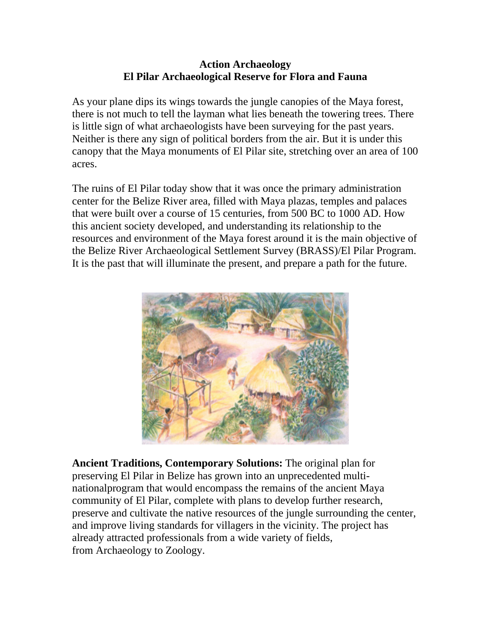## **Action Archaeology El Pilar Archaeological Reserve for Flora and Fauna**

As your plane dips its wings towards the jungle canopies of the Maya forest, there is not much to tell the layman what lies beneath the towering trees. There is little sign of what archaeologists have been surveying for the past years. Neither is there any sign of political borders from the air. But it is under this canopy that the Maya monuments of El Pilar site, stretching over an area of 100 acres.

The ruins of El Pilar today show that it was once the primary administration center for the Belize River area, filled with Maya plazas, temples and palaces that were built over a course of 15 centuries, from 500 BC to 1000 AD. How this ancient society developed, and understanding its relationship to the resources and environment of the Maya forest around it is the main objective of the Belize River Archaeological Settlement Survey (BRASS)/El Pilar Program. It is the past that will illuminate the present, and prepare a path for the future.



**Ancient Traditions, Contemporary Solutions:** The original plan for preserving El Pilar in Belize has grown into an unprecedented multinationalprogram that would encompass the remains of the ancient Maya community of El Pilar, complete with plans to develop further research, preserve and cultivate the native resources of the jungle surrounding the center, and improve living standards for villagers in the vicinity. The project has already attracted professionals from a wide variety of fields, from Archaeology to Zoology.